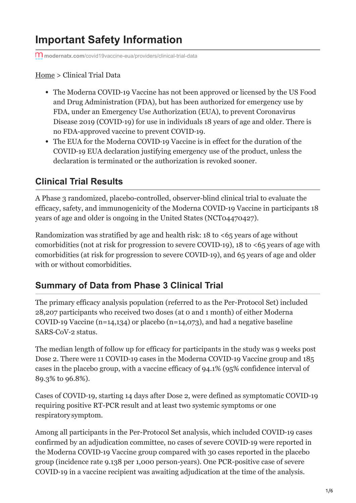# **Important Safety Information**

**modernatx.com**[/covid19vaccine-eua/providers/clinical-trial-data](https://www.modernatx.com/covid19vaccine-eua/providers/clinical-trial-data)

[Home](https://www.modernatx.com/covid19vaccine-eua/providers/) > Clinical Trial Data

- The Moderna COVID‑19 Vaccine has not been approved or licensed by the US Food and Drug Administration (FDA), but has been authorized for emergency use by FDA, under an Emergency Use Authorization (EUA), to prevent Coronavirus Disease 2019 (COVID-19) for use in individuals 18 years of age and older. There is no FDA-approved vaccine to prevent COVID‑19.
- The EUA for the Moderna COVID-19 Vaccine is in effect for the duration of the COVID‑19 EUA declaration justifying emergency use of the product, unless the declaration is terminated or the authorization is revoked sooner.

# **Clinical Trial Results**

A Phase 3 randomized, placebo-controlled, observer-blind clinical trial to evaluate the efficacy, safety, and immunogenicity of the Moderna COVID‑19 Vaccine in participants 18 years of age and older is ongoing in the United States (NCT04470427).

Randomization was stratified by age and health risk: 18 to <65 years of age without comorbidities (not at risk for progression to severe COVID-19), 18 to  $\leq 65$  years of age with comorbidities (at risk for progression to severe COVID‑19), and 65 years of age and older with or without comorbidities.

# **Summary of Data from Phase 3 Clinical Trial**

The primary efficacy analysis population (referred to as the Per-Protocol Set) included 28,207 participants who received two doses (at 0 and 1 month) of either Moderna COVID-19 Vaccine (n=14,134) or placebo (n=14,073), and had a negative baseline SARS-CoV-2 status.

The median length of follow up for efficacy for participants in the study was 9 weeks post Dose 2. There were 11 COVID-19 cases in the Moderna COVID-19 Vaccine group and 185 cases in the placebo group, with a vaccine efficacy of 94.1% (95% confidence interval of 89.3% to 96.8%).

Cases of COVID‑19, starting 14 days after Dose 2, were defined as symptomatic COVID‑19 requiring positive RT-PCR result and at least two systemic symptoms or one respiratory symptom.

Among all participants in the Per-Protocol Set analysis, which included COVID‑19 cases confirmed by an adjudication committee, no cases of severe COVID‑19 were reported in the Moderna COVID‑19 Vaccine group compared with 30 cases reported in the placebo group (incidence rate 9.138 per 1,000 person-years). One PCR-positive case of severe COVID‑19 in a vaccine recipient was awaiting adjudication at the time of the analysis.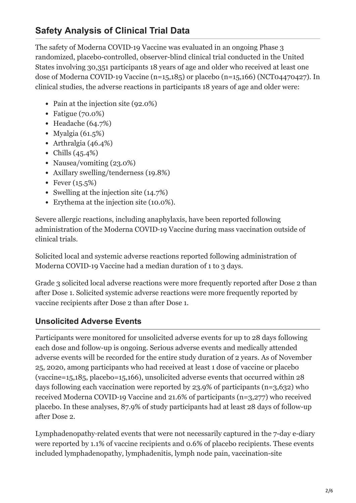# **Safety Analysis of Clinical Trial Data**

The safety of Moderna COVID-19 Vaccine was evaluated in an ongoing Phase 3 randomized, placebo-controlled, observer-blind clinical trial conducted in the United States involving 30,351 participants 18 years of age and older who received at least one dose of Moderna COVID-19 Vaccine (n=15,185) or placebo (n=15,166) (NCT04470427). In clinical studies, the adverse reactions in participants 18 years of age and older were:

- Pain at the injection site (92.0%)
- Fatigue (70.0%)
- $\bullet$  Headache (64.7%)
- Myalgia  $(61.5\%)$
- Arthralgia (46.4%)
- Chills (45.4%)
- Nausea/vomiting (23.0%)
- Axillary swelling/tenderness (19.8%)
- Fever  $(15.5%)$
- Swelling at the injection site (14.7%)
- Erythema at the injection site (10.0%).

Severe allergic reactions, including anaphylaxis, have been reported following administration of the Moderna COVID‑19 Vaccine during mass vaccination outside of clinical trials.

Solicited local and systemic adverse reactions reported following administration of Moderna COVID-19 Vaccine had a median duration of 1 to 3 days.

Grade 3 solicited local adverse reactions were more frequently reported after Dose 2 than after Dose 1. Solicited systemic adverse reactions were more frequently reported by vaccine recipients after Dose 2 than after Dose 1.

### **Unsolicited Adverse Events**

Participants were monitored for unsolicited adverse events for up to 28 days following each dose and follow-up is ongoing. Serious adverse events and medically attended adverse events will be recorded for the entire study duration of 2 years. As of November 25, 2020, among participants who had received at least 1 dose of vaccine or placebo (vaccine=15,185, placebo=15,166), unsolicited adverse events that occurred within 28 days following each vaccination were reported by 23.9% of participants (n=3,632) who received Moderna COVID‑19 Vaccine and 21.6% of participants (n=3,277) who received placebo. In these analyses, 87.9% of study participants had at least 28 days of follow-up after Dose 2.

Lymphadenopathy-related events that were not necessarily captured in the 7-day e-diary were reported by 1.1% of vaccine recipients and 0.6% of placebo recipients. These events included lymphadenopathy, lymphadenitis, lymph node pain, vaccination-site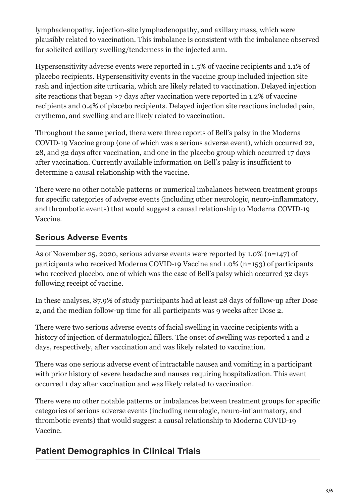lymphadenopathy, injection-site lymphadenopathy, and axillary mass, which were plausibly related to vaccination. This imbalance is consistent with the imbalance observed for solicited axillary swelling/tenderness in the injected arm.

Hypersensitivity adverse events were reported in 1.5% of vaccine recipients and 1.1% of placebo recipients. Hypersensitivity events in the vaccine group included injection site rash and injection site urticaria, which are likely related to vaccination. Delayed injection site reactions that began >7 days after vaccination were reported in 1.2% of vaccine recipients and 0.4% of placebo recipients. Delayed injection site reactions included pain, erythema, and swelling and are likely related to vaccination.

Throughout the same period, there were three reports of Bell's palsy in the Moderna COVID‑19 Vaccine group (one of which was a serious adverse event), which occurred 22, 28, and 32 days after vaccination, and one in the placebo group which occurred 17 days after vaccination. Currently available information on Bell's palsy is insufficient to determine a causal relationship with the vaccine.

There were no other notable patterns or numerical imbalances between treatment groups for specific categories of adverse events (including other neurologic, neuro-inflammatory, and thrombotic events) that would suggest a causal relationship to Moderna COVID-19 Vaccine.

### **Serious Adverse Events**

As of November 25, 2020, serious adverse events were reported by 1.0% (n=147) of participants who received Moderna COVID‑19 Vaccine and 1.0% (n=153) of participants who received placebo, one of which was the case of Bell's palsy which occurred 32 days following receipt of vaccine.

In these analyses, 87.9% of study participants had at least 28 days of follow-up after Dose 2, and the median follow-up time for all participants was 9 weeks after Dose 2.

There were two serious adverse events of facial swelling in vaccine recipients with a history of injection of dermatological fillers. The onset of swelling was reported 1 and 2 days, respectively, after vaccination and was likely related to vaccination.

There was one serious adverse event of intractable nausea and vomiting in a participant with prior history of severe headache and nausea requiring hospitalization. This event occurred 1 day after vaccination and was likely related to vaccination.

There were no other notable patterns or imbalances between treatment groups for specific categories of serious adverse events (including neurologic, neuro-inflammatory, and thrombotic events) that would suggest a causal relationship to Moderna COVID‑19 Vaccine.

# **Patient Demographics in Clinical Trials**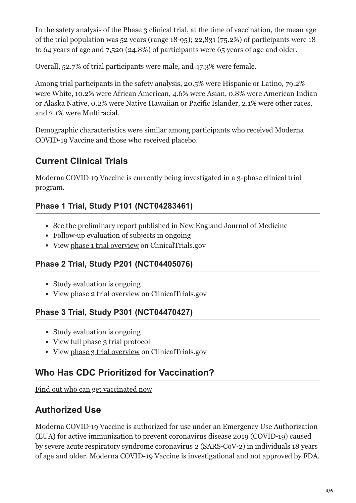In the safety analysis of the Phase 3 clinical trial, at the time of vaccination, the mean age of the trial population was 52 years (range 18‑95); 22,831 (75.2%) of participants were 18 to 64 years of age and 7,520 (24.8%) of participants were 65 years of age and older.

Overall, 52.7% of trial participants were male, and 47.3% were female.

Among trial participants in the safety analysis, 20.5% were Hispanic or Latino, 79.2% were White, 10.2% were African American, 4.6% were Asian, 0.8% were American Indian or Alaska Native, 0.2% were Native Hawaiian or Pacific Islander, 2.1% were other races, and 2.1% were Multiracial.

Demographic characteristics were similar among participants who received Moderna COVID‑19 Vaccine and those who received placebo.

### **Current Clinical Trials**

Moderna COVID‑19 Vaccine is currently being investigated in a 3-phase clinical trial program.

### **Phase 1 Trial, Study P101 (NCT04283461)**

- [See the preliminary report published in New England Journal of Medicine](https://www.nejm.org/doi/full/10.1056/nejmoa2022483)
- Follow-up evaluation of subjects in ongoing
- View [phase 1 trial overview](https://clinicaltrials.gov/ct2/show/NCT04283461) on ClinicalTrials.gov

### **Phase 2 Trial, Study P201 (NCT04405076)**

- Study evaluation is ongoing
- View [phase 2 trial overview](https://clinicaltrials.gov/ct2/show/NCT04405076) on ClinicalTrials.gov

### **Phase 3 Trial, Study P301 (NCT04470427)**

- Study evaluation is ongoing
- View full [phase 3 trial protocol](https://www.modernatx.com/sites/default/files/mRNA-1273-P301-Protocol.pdf)
- View [phase 3 trial overview](https://clinicaltrials.gov/ct2/show/NCT04470427) on ClinicalTrials.gov

### **Who Has CDC Prioritized for Vaccination?**

[Find out who can get vaccinated now](https://www.modernatx.com/covid19vaccine-eua/providers/vaccine-eligibility)

# **Authorized Use**

Moderna COVID‑19 Vaccine is authorized for use under an Emergency Use Authorization (EUA) for active immunization to prevent coronavirus disease 2019 (COVID‑19) caused by severe acute respiratory syndrome coronavirus 2 (SARS‑CoV‑2) in individuals 18 years of age and older. Moderna COVID-19 Vaccine is investigational and not approved by FDA.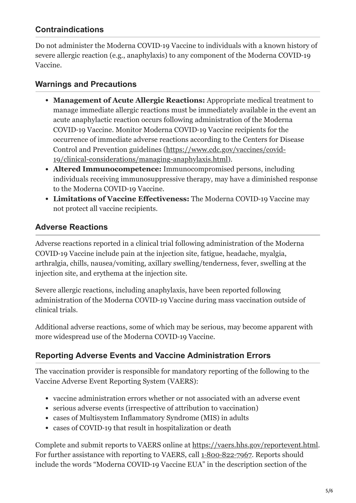### **Contraindications**

Do not administer the Moderna COVID‑19 Vaccine to individuals with a known history of severe allergic reaction (e.g., anaphylaxis) to any component of the Moderna COVID-19 Vaccine.

#### **Warnings and Precautions**

- **Management of Acute Allergic Reactions:** Appropriate medical treatment to manage immediate allergic reactions must be immediately available in the event an acute anaphylactic reaction occurs following administration of the Moderna COVID‑19 Vaccine. Monitor Moderna COVID‑19 Vaccine recipients for the occurrence of immediate adverse reactions according to the Centers for Disease [Control and Prevention guidelines \(https://www.cdc.gov/vaccines/covid-](https://www.cdc.gov/vaccines/covid-19/clinical-considerations/managing-anaphylaxis.html)19/clinical-considerations/managing-anaphylaxis.html).
- **Altered Immunocompetence:** Immunocompromised persons, including individuals receiving immunosuppressive therapy, may have a diminished response to the Moderna COVID‑19 Vaccine.
- **Limitations of Vaccine Effectiveness:** The Moderna COVID‑19 Vaccine may not protect all vaccine recipients.

#### **Adverse Reactions**

Adverse reactions reported in a clinical trial following administration of the Moderna COVID‑19 Vaccine include pain at the injection site, fatigue, headache, myalgia, arthralgia, chills, nausea/vomiting, axillary swelling/tenderness, fever, swelling at the injection site, and erythema at the injection site.

Severe allergic reactions, including anaphylaxis, have been reported following administration of the Moderna COVID‑19 Vaccine during mass vaccination outside of clinical trials.

Additional adverse reactions, some of which may be serious, may become apparent with more widespread use of the Moderna COVID‑19 Vaccine.

### **Reporting Adverse Events and Vaccine Administration Errors**

The vaccination provider is responsible for mandatory reporting of the following to the Vaccine Adverse Event Reporting System (VAERS):

- vaccine administration errors whether or not associated with an adverse event
- serious adverse events (irrespective of attribution to vaccination)
- cases of Multisystem Inflammatory Syndrome (MIS) in adults
- cases of COVID-19 that result in hospitalization or death

Complete and submit reports to VAERS online at <https://vaers.hhs.gov/reportevent.html>. For further assistance with reporting to VAERS, call 1-800-822-[7967](tel:+1-800-822-7967). Reports should include the words "Moderna COVID‑19 Vaccine EUA" in the description section of the